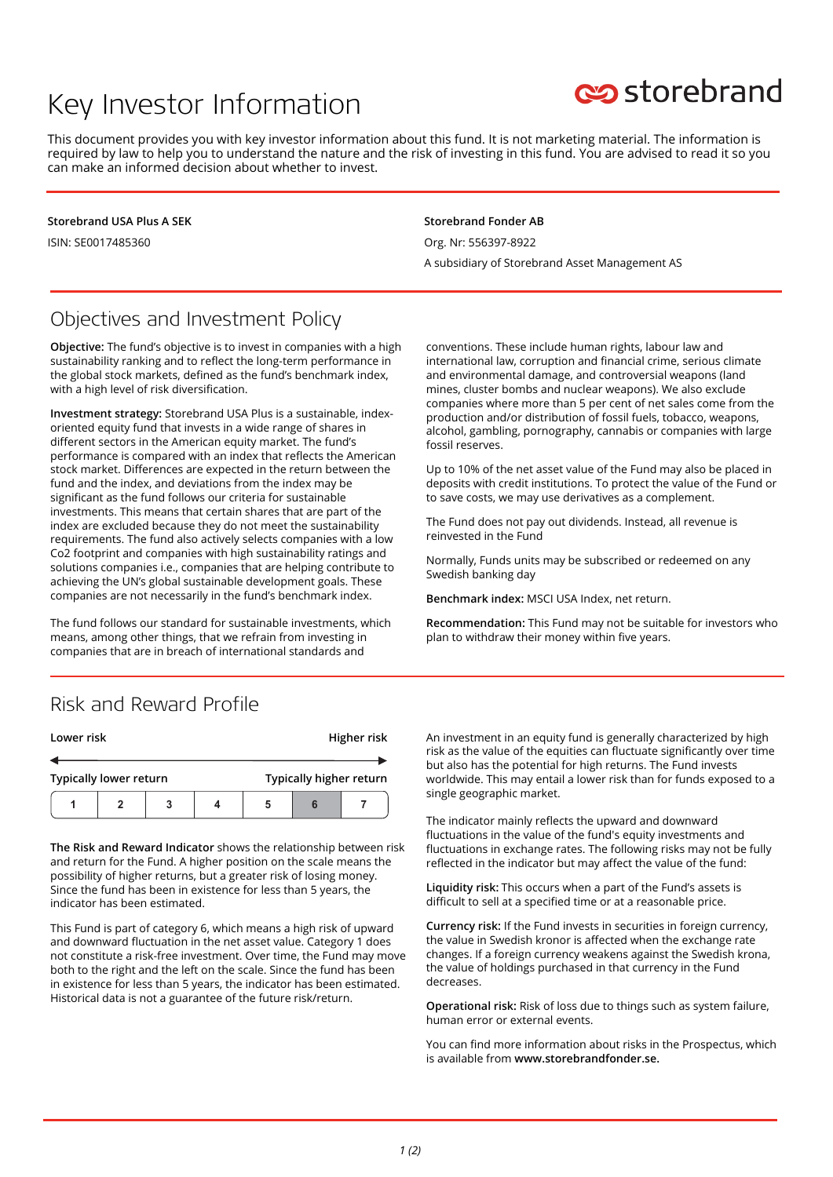# Key Investor Information

# storebrand

This document provides you with key investor information about this fund. It is not marketing material. The information is required by law to help you to understand the nature and the risk of investing in this fund. You are advised to read it so you can make an informed decision about whether to invest.

**Storebrand USA Plus A SEK**

ISIN: SE0017485360

#### **Storebrand Fonder AB**

Org. Nr: 556397-8922

A subsidiary of Storebrand Asset Management AS

## Objectives and Investment Policy

**Objective:** The fund's objective is to invest in companies with a high sustainability ranking and to reflect the long-term performance in the global stock markets, defined as the fund's benchmark index, with a high level of risk diversification.

**Investment strategy:** Storebrand USA Plus is a sustainable, indexoriented equity fund that invests in a wide range of shares in different sectors in the American equity market. The fund's performance is compared with an index that reflects the American stock market. Differences are expected in the return between the fund and the index, and deviations from the index may be significant as the fund follows our criteria for sustainable investments. This means that certain shares that are part of the index are excluded because they do not meet the sustainability requirements. The fund also actively selects companies with a low Co2 footprint and companies with high sustainability ratings and solutions companies i.e., companies that are helping contribute to achieving the UN's global sustainable development goals. These companies are not necessarily in the fund's benchmark index.

The fund follows our standard for sustainable investments, which means, among other things, that we refrain from investing in companies that are in breach of international standards and

conventions. These include human rights, labour law and international law, corruption and financial crime, serious climate and environmental damage, and controversial weapons (land mines, cluster bombs and nuclear weapons). We also exclude companies where more than 5 per cent of net sales come from the production and/or distribution of fossil fuels, tobacco, weapons, alcohol, gambling, pornography, cannabis or companies with large fossil reserves.

Up to 10% of the net asset value of the Fund may also be placed in deposits with credit institutions. To protect the value of the Fund or to save costs, we may use derivatives as a complement.

The Fund does not pay out dividends. Instead, all revenue is reinvested in the Fund

Normally, Funds units may be subscribed or redeemed on any Swedish banking day

**Benchmark index:** MSCI USA Index, net return.

**Recommendation:** This Fund may not be suitable for investors who plan to withdraw their money within five years.

### Risk and Reward Profile

| Lower risk                    |  |  |  | Higher risk             |  |  |
|-------------------------------|--|--|--|-------------------------|--|--|
|                               |  |  |  |                         |  |  |
| <b>Typically lower return</b> |  |  |  | Typically higher return |  |  |
|                               |  |  |  |                         |  |  |

**The Risk and Reward Indicator** shows the relationship between risk and return for the Fund. A higher position on the scale means the possibility of higher returns, but a greater risk of losing money. Since the fund has been in existence for less than 5 years, the indicator has been estimated.

This Fund is part of category 6, which means a high risk of upward and downward fluctuation in the net asset value. Category 1 does not constitute a risk-free investment. Over time, the Fund may move both to the right and the left on the scale. Since the fund has been in existence for less than 5 years, the indicator has been estimated. Historical data is not a guarantee of the future risk/return.

An investment in an equity fund is generally characterized by high risk as the value of the equities can fluctuate significantly over time but also has the potential for high returns. The Fund invests worldwide. This may entail a lower risk than for funds exposed to a single geographic market.

The indicator mainly reflects the upward and downward fluctuations in the value of the fund's equity investments and fluctuations in exchange rates. The following risks may not be fully reflected in the indicator but may affect the value of the fund:

**Liquidity risk:** This occurs when a part of the Fund's assets is difficult to sell at a specified time or at a reasonable price.

**Currency risk:** If the Fund invests in securities in foreign currency, the value in Swedish kronor is affected when the exchange rate changes. If a foreign currency weakens against the Swedish krona, the value of holdings purchased in that currency in the Fund decreases.

**Operational risk:** Risk of loss due to things such as system failure, human error or external events.

You can find more information about risks in the Prospectus, which is available from **www.storebrandfonder.se.**